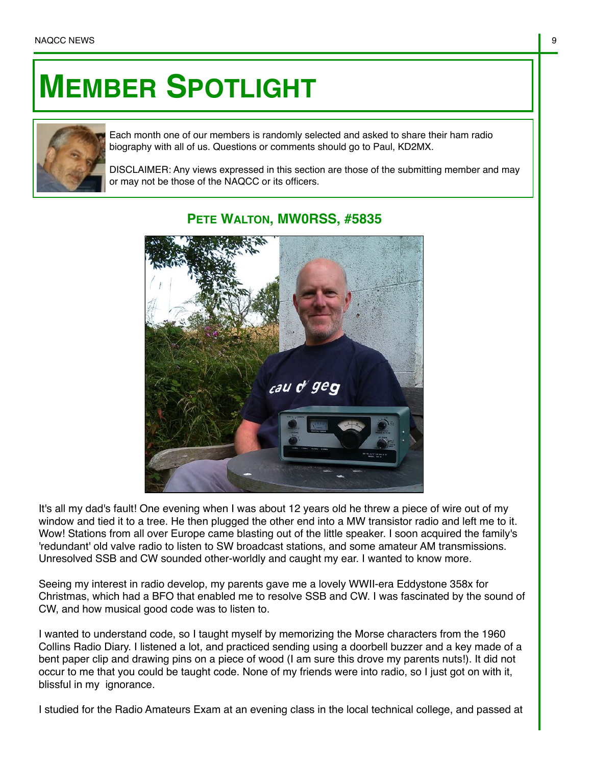## **MEMBER SPOTLIGHT**



Each month one of our members is randomly selected and asked to share their ham radio biography with all of us. Questions or comments should go to Paul, KD2MX.

DISCLAIMER: Any views expressed in this section are those of the submitting member and may or may not be those of the NAQCC or its officers.



## **PETE WALTON, MW0RSS, #5835**

It's all my dad's fault! One evening when I was about 12 years old he threw a piece of wire out of my window and tied it to a tree. He then plugged the other end into a MW transistor radio and left me to it. Wow! Stations from all over Europe came blasting out of the little speaker. I soon acquired the family's 'redundant' old valve radio to listen to SW broadcast stations, and some amateur AM transmissions. Unresolved SSB and CW sounded other-worldly and caught my ear. I wanted to know more.

Seeing my interest in radio develop, my parents gave me a lovely WWII-era Eddystone 358x for Christmas, which had a BFO that enabled me to resolve SSB and CW. I was fascinated by the sound of CW, and how musical good code was to listen to.

I wanted to understand code, so I taught myself by memorizing the Morse characters from the 1960 Collins Radio Diary. I listened a lot, and practiced sending using a doorbell buzzer and a key made of a bent paper clip and drawing pins on a piece of wood (I am sure this drove my parents nuts!). It did not occur to me that you could be taught code. None of my friends were into radio, so I just got on with it, blissful in my ignorance.

I studied for the Radio Amateurs Exam at an evening class in the local technical college, and passed at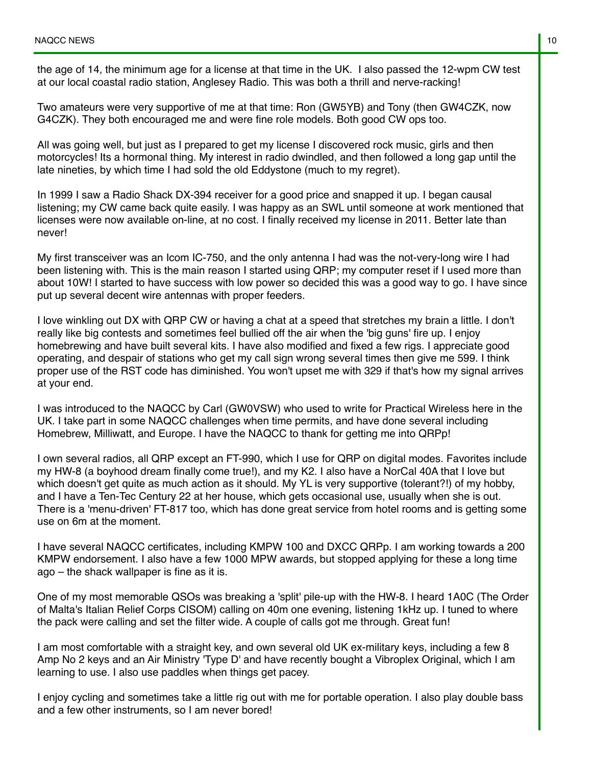the age of 14, the minimum age for a license at that time in the UK. I also passed the 12-wpm CW test at our local coastal radio station, Anglesey Radio. This was both a thrill and nerve-racking!

Two amateurs were very supportive of me at that time: Ron (GW5YB) and Tony (then GW4CZK, now G4CZK). They both encouraged me and were fine role models. Both good CW ops too.

All was going well, but just as I prepared to get my license I discovered rock music, girls and then motorcycles! Its a hormonal thing. My interest in radio dwindled, and then followed a long gap until the late nineties, by which time I had sold the old Eddystone (much to my regret).

In 1999 I saw a Radio Shack DX-394 receiver for a good price and snapped it up. I began causal listening; my CW came back quite easily. I was happy as an SWL until someone at work mentioned that licenses were now available on-line, at no cost. I finally received my license in 2011. Better late than never!

My first transceiver was an Icom IC-750, and the only antenna I had was the not-very-long wire I had been listening with. This is the main reason I started using QRP; my computer reset if I used more than about 10W! I started to have success with low power so decided this was a good way to go. I have since put up several decent wire antennas with proper feeders.

I love winkling out DX with QRP CW or having a chat at a speed that stretches my brain a little. I don't really like big contests and sometimes feel bullied off the air when the 'big guns' fire up. I enjoy homebrewing and have built several kits. I have also modified and fixed a few rigs. I appreciate good operating, and despair of stations who get my call sign wrong several times then give me 599. I think proper use of the RST code has diminished. You won't upset me with 329 if that's how my signal arrives at your end.

I was introduced to the NAQCC by Carl (GW0VSW) who used to write for Practical Wireless here in the UK. I take part in some NAQCC challenges when time permits, and have done several including Homebrew, Milliwatt, and Europe. I have the NAQCC to thank for getting me into QRPp!

I own several radios, all QRP except an FT-990, which I use for QRP on digital modes. Favorites include my HW-8 (a boyhood dream finally come true!), and my K2. I also have a NorCal 40A that I love but which doesn't get quite as much action as it should. My YL is very supportive (tolerant?!) of my hobby, and I have a Ten-Tec Century 22 at her house, which gets occasional use, usually when she is out. There is a 'menu-driven' FT-817 too, which has done great service from hotel rooms and is getting some use on 6m at the moment.

I have several NAQCC certificates, including KMPW 100 and DXCC QRPp. I am working towards a 200 KMPW endorsement. I also have a few 1000 MPW awards, but stopped applying for these a long time ago – the shack wallpaper is fine as it is.

One of my most memorable QSOs was breaking a 'split' pile-up with the HW-8. I heard 1A0C (The Order of Malta's Italian Relief Corps CISOM) calling on 40m one evening, listening 1kHz up. I tuned to where the pack were calling and set the filter wide. A couple of calls got me through. Great fun!

I am most comfortable with a straight key, and own several old UK ex-military keys, including a few 8 Amp No 2 keys and an Air Ministry 'Type D' and have recently bought a Vibroplex Original, which I am learning to use. I also use paddles when things get pacey.

I enjoy cycling and sometimes take a little rig out with me for portable operation. I also play double bass and a few other instruments, so I am never bored!